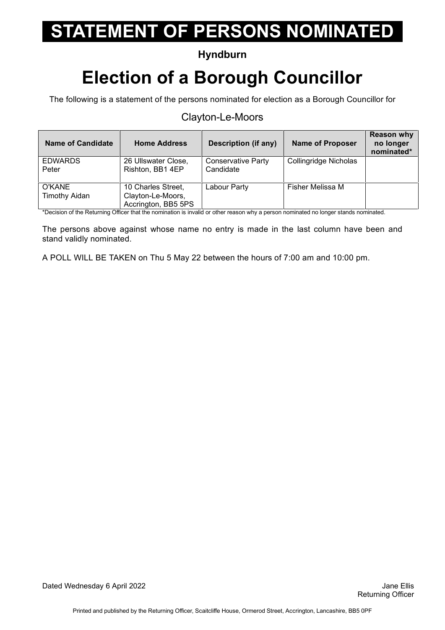### **Hyndburn**

## **Election of a Borough Councillor**

The following is a statement of the persons nominated for election as a Borough Councillor for

#### Clayton-Le-Moors

| <b>Name of Candidate</b>       | <b>Home Address</b>                                            | Description (if any)                   | <b>Name of Proposer</b> | <b>Reason why</b><br>no longer<br>nominated* |
|--------------------------------|----------------------------------------------------------------|----------------------------------------|-------------------------|----------------------------------------------|
| <b>EDWARDS</b><br>Peter        | 26 Ullswater Close,<br>Rishton, BB1 4EP                        | <b>Conservative Party</b><br>Candidate | Collingridge Nicholas   |                                              |
| O'KANE<br><b>Timothy Aidan</b> | 10 Charles Street,<br>Clayton-Le-Moors,<br>Accrington, BB5 5PS | Labour Party                           | Fisher Melissa M        |                                              |

\*Decision of the Returning Officer that the nomination is invalid or other reason why a person nominated no longer stands nominated.

The persons above against whose name no entry is made in the last column have been and stand validly nominated.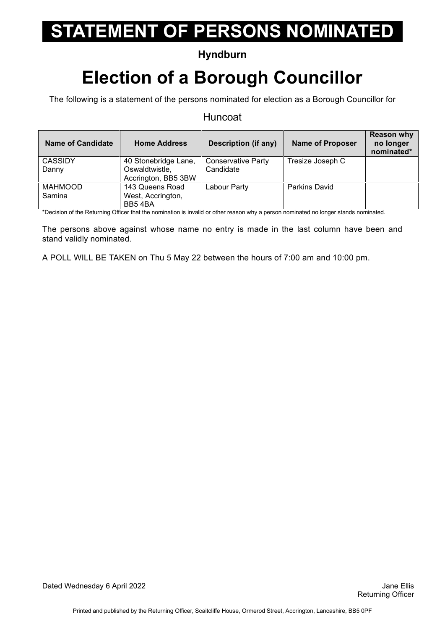### **Hyndburn**

## **Election of a Borough Councillor**

The following is a statement of the persons nominated for election as a Borough Councillor for

#### **Huncoat**

| <b>Name of Candidate</b> | <b>Home Address</b>  | Description (if any)      | <b>Name of Proposer</b> | <b>Reason why</b><br>no longer<br>nominated* |
|--------------------------|----------------------|---------------------------|-------------------------|----------------------------------------------|
| <b>CASSIDY</b>           | 40 Stonebridge Lane, | <b>Conservative Party</b> | Tresize Joseph C        |                                              |
| Danny                    | Oswaldtwistle,       | Candidate                 |                         |                                              |
|                          | Accrington, BB5 3BW  |                           |                         |                                              |
| <b>MAHMOOD</b>           | 143 Queens Road      | Labour Party              | <b>Parkins David</b>    |                                              |
| Samina                   | West, Accrington,    |                           |                         |                                              |
|                          | BB54BA               |                           |                         |                                              |

\*Decision of the Returning Officer that the nomination is invalid or other reason why a person nominated no longer stands nominated.

The persons above against whose name no entry is made in the last column have been and stand validly nominated.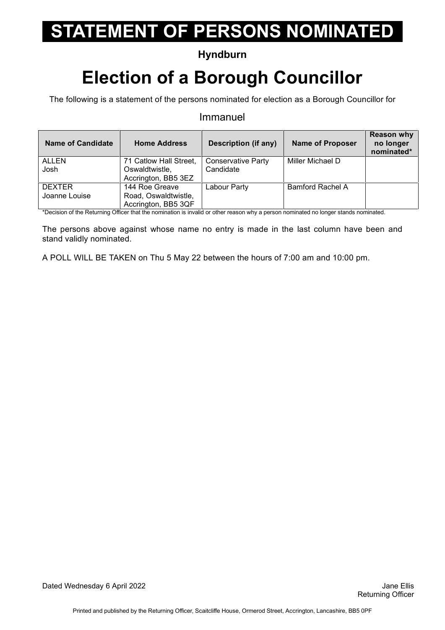### **Hyndburn**

## **Election of a Borough Councillor**

The following is a statement of the persons nominated for election as a Borough Councillor for

#### Immanuel

| <b>Name of Candidate</b> | <b>Home Address</b>    | <b>Description (if any)</b> | <b>Name of Proposer</b> | <b>Reason why</b><br>no longer<br>nominated* |
|--------------------------|------------------------|-----------------------------|-------------------------|----------------------------------------------|
| <b>ALLEN</b>             | 71 Catlow Hall Street, | <b>Conservative Party</b>   | Miller Michael D        |                                              |
| Josh                     | Oswaldtwistle,         | Candidate                   |                         |                                              |
|                          | Accrington, BB5 3EZ    |                             |                         |                                              |
| <b>DEXTER</b>            | 144 Roe Greave         | Labour Party                | <b>Bamford Rachel A</b> |                                              |
| Joanne Louise            | Road, Oswaldtwistle,   |                             |                         |                                              |
|                          | Accrington, BB5 3QF    |                             |                         |                                              |

\*Decision of the Returning Officer that the nomination is invalid or other reason why a person nominated no longer stands nominated.

The persons above against whose name no entry is made in the last column have been and stand validly nominated.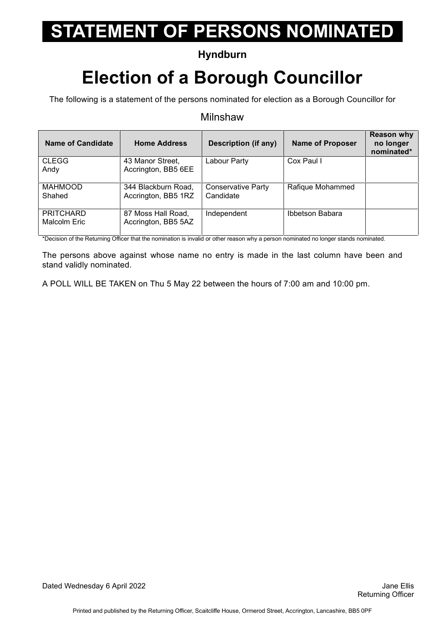### **Hyndburn**

## **Election of a Borough Councillor**

The following is a statement of the persons nominated for election as a Borough Councillor for

#### **Milnshaw**

| Name of Candidate | <b>Home Address</b> | Description (if any)      | <b>Name of Proposer</b> | <b>Reason why</b><br>no longer<br>nominated* |
|-------------------|---------------------|---------------------------|-------------------------|----------------------------------------------|
| <b>CLEGG</b>      | 43 Manor Street,    | Labour Party              | Cox Paul I              |                                              |
| Andy              | Accrington, BB5 6EE |                           |                         |                                              |
| <b>MAHMOOD</b>    | 344 Blackburn Road, | <b>Conservative Party</b> | Rafique Mohammed        |                                              |
| Shahed            | Accrington, BB5 1RZ | Candidate                 |                         |                                              |
| <b>PRITCHARD</b>  | 87 Moss Hall Road,  | Independent               | Ibbetson Babara         |                                              |
| Malcolm Eric      | Accrington, BB5 5AZ |                           |                         |                                              |

\*Decision of the Returning Officer that the nomination is invalid or other reason why a person nominated no longer stands nominated.

The persons above against whose name no entry is made in the last column have been and stand validly nominated.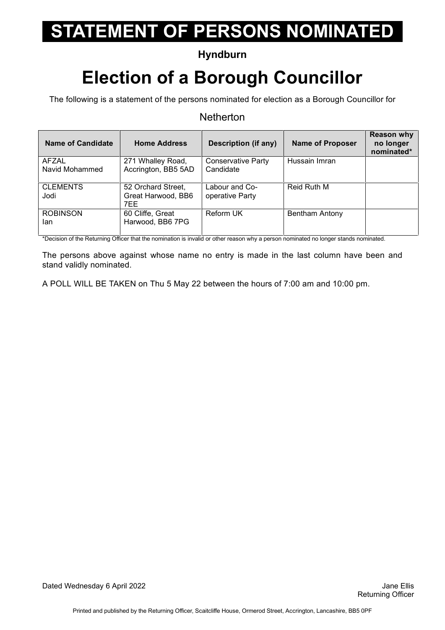### **Hyndburn**

## **Election of a Borough Councillor**

The following is a statement of the persons nominated for election as a Borough Councillor for

#### **Netherton**

| Name of Candidate              | <b>Home Address</b>                             | Description (if any)                   | <b>Name of Proposer</b> | <b>Reason why</b><br>no longer<br>nominated* |
|--------------------------------|-------------------------------------------------|----------------------------------------|-------------------------|----------------------------------------------|
| <b>AFZAL</b><br>Navid Mohammed | 271 Whalley Road,<br>Accrington, BB5 5AD        | <b>Conservative Party</b><br>Candidate | Hussain Imran           |                                              |
| <b>CLEMENTS</b><br>Jodi        | 52 Orchard Street,<br>Great Harwood, BB6<br>7EE | Labour and Co-<br>operative Party      | Reid Ruth M             |                                              |
| <b>ROBINSON</b><br>lan         | 60 Cliffe, Great<br>Harwood, BB6 7PG            | <b>Reform UK</b>                       | Bentham Antony          |                                              |

\*Decision of the Returning Officer that the nomination is invalid or other reason why a person nominated no longer stands nominated.

The persons above against whose name no entry is made in the last column have been and stand validly nominated.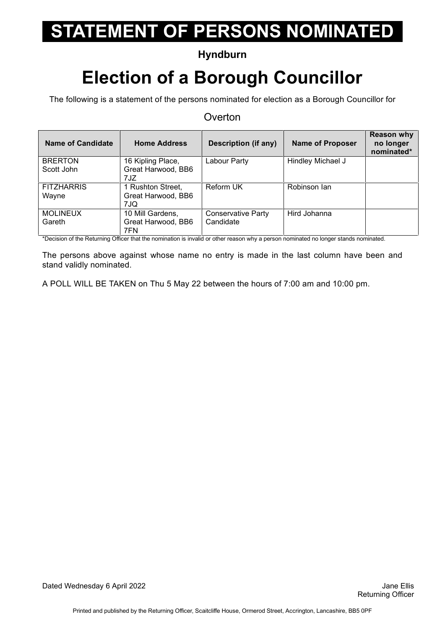### **Hyndburn**

## **Election of a Borough Councillor**

The following is a statement of the persons nominated for election as a Borough Councillor for

#### **Overton**

| Name of Candidate | <b>Home Address</b> | Description (if any)      | <b>Name of Proposer</b> | <b>Reason why</b><br>no longer<br>nominated* |
|-------------------|---------------------|---------------------------|-------------------------|----------------------------------------------|
| <b>BRERTON</b>    | 16 Kipling Place,   | Labour Party              | Hindley Michael J       |                                              |
| Scott John        | Great Harwood, BB6  |                           |                         |                                              |
|                   | 7JZ                 |                           |                         |                                              |
| <b>FITZHARRIS</b> | 1 Rushton Street,   | Reform UK                 | Robinson lan            |                                              |
| Wayne             | Great Harwood, BB6  |                           |                         |                                              |
|                   | 7JQ                 |                           |                         |                                              |
| <b>MOLINEUX</b>   | 10 Mill Gardens,    | <b>Conservative Party</b> | Hird Johanna            |                                              |
| Gareth            | Great Harwood, BB6  | Candidate                 |                         |                                              |
|                   | 7FN                 |                           |                         |                                              |

\*Decision of the Returning Officer that the nomination is invalid or other reason why a person nominated no longer stands nominated.

The persons above against whose name no entry is made in the last column have been and stand validly nominated.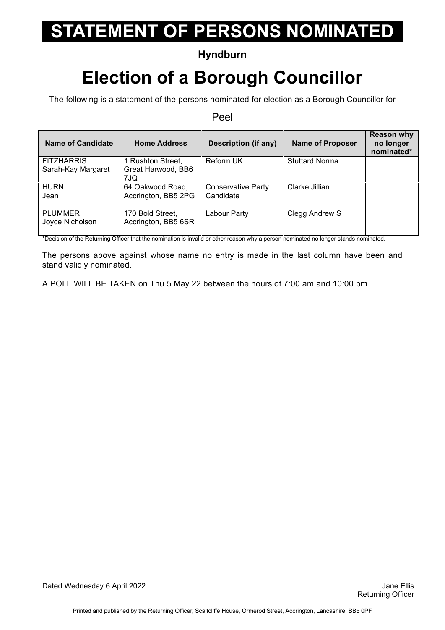### **Hyndburn**

## **Election of a Borough Councillor**

The following is a statement of the persons nominated for election as a Borough Councillor for

#### Peel

| Name of Candidate                       | <b>Home Address</b>                            | Description (if any)                   | <b>Name of Proposer</b> | <b>Reason why</b><br>no longer<br>nominated* |
|-----------------------------------------|------------------------------------------------|----------------------------------------|-------------------------|----------------------------------------------|
| <b>FITZHARRIS</b><br>Sarah-Kay Margaret | 1 Rushton Street,<br>Great Harwood, BB6<br>7JQ | <b>Reform UK</b>                       | <b>Stuttard Norma</b>   |                                              |
| <b>HURN</b><br>Jean                     | 64 Oakwood Road,<br>Accrington, BB5 2PG        | <b>Conservative Party</b><br>Candidate | Clarke Jillian          |                                              |
| <b>PLUMMER</b><br>Joyce Nicholson       | 170 Bold Street,<br>Accrington, BB5 6SR        | Labour Party                           | Clegg Andrew S          |                                              |

\*Decision of the Returning Officer that the nomination is invalid or other reason why a person nominated no longer stands nominated.

The persons above against whose name no entry is made in the last column have been and stand validly nominated.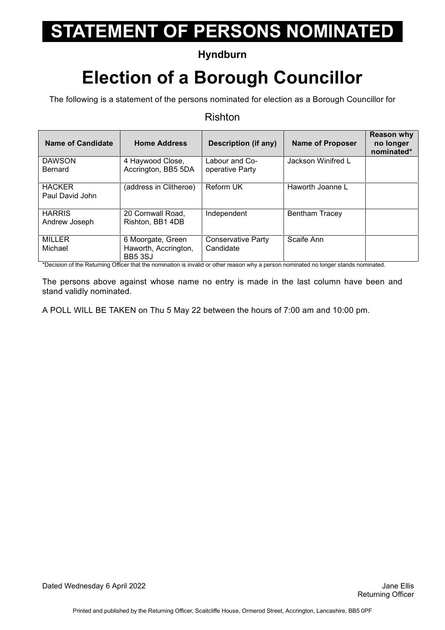### **Hyndburn**

## **Election of a Borough Councillor**

The following is a statement of the persons nominated for election as a Borough Councillor for

#### Rishton

| Name of Candidate               | <b>Home Address</b>                     | Description (if any)              | <b>Name of Proposer</b> | <b>Reason why</b><br>no longer<br>nominated* |
|---------------------------------|-----------------------------------------|-----------------------------------|-------------------------|----------------------------------------------|
| <b>DAWSON</b><br><b>Bernard</b> | 4 Haywood Close,<br>Accrington, BB5 5DA | Labour and Co-<br>operative Party | Jackson Winifred L      |                                              |
|                                 |                                         |                                   |                         |                                              |
| <b>HACKER</b>                   | (address in Clitheroe)                  | <b>Reform UK</b>                  | Haworth Joanne L        |                                              |
| Paul David John                 |                                         |                                   |                         |                                              |
| <b>HARRIS</b>                   | 20 Cornwall Road,                       | Independent                       | <b>Bentham Tracey</b>   |                                              |
| Andrew Joseph                   | Rishton, BB1 4DB                        |                                   |                         |                                              |
| <b>MILLER</b>                   | 6 Moorgate, Green                       | <b>Conservative Party</b>         | Scaife Ann              |                                              |
| Michael                         | Haworth, Accrington,<br><b>BB5 3SJ</b>  | Candidate                         |                         |                                              |

\*Decision of the Returning Officer that the nomination is invalid or other reason why a person nominated no longer stands nominated.

The persons above against whose name no entry is made in the last column have been and stand validly nominated.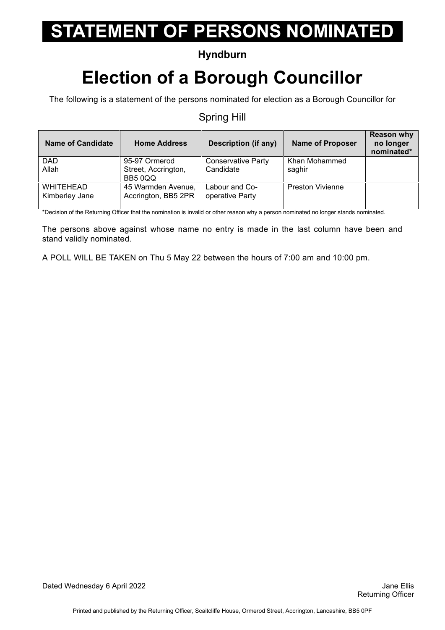### **Hyndburn**

## **Election of a Borough Councillor**

The following is a statement of the persons nominated for election as a Borough Councillor for

#### Spring Hill

| <b>Name of Candidate</b>           | <b>Home Address</b>                       | <b>Description (if any)</b>       | <b>Name of Proposer</b> | <b>Reason why</b><br>no longer<br>nominated* |
|------------------------------------|-------------------------------------------|-----------------------------------|-------------------------|----------------------------------------------|
| <b>DAD</b>                         | 95-97 Ormerod                             | <b>Conservative Party</b>         | Khan Mohammed           |                                              |
| Allah                              | Street, Accrington,<br>BB5 0QQ            | Candidate                         | saghir                  |                                              |
| <b>WHITEHEAD</b><br>Kimberley Jane | 45 Warmden Avenue,<br>Accrington, BB5 2PR | Labour and Co-<br>operative Party | <b>Preston Vivienne</b> |                                              |

\*Decision of the Returning Officer that the nomination is invalid or other reason why a person nominated no longer stands nominated.

The persons above against whose name no entry is made in the last column have been and stand validly nominated.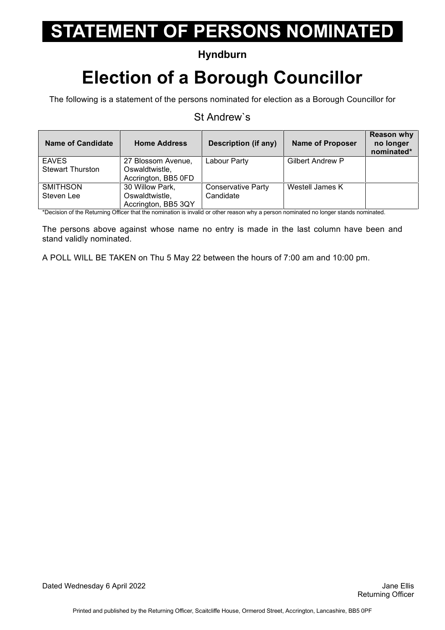### **Hyndburn**

## **Election of a Borough Councillor**

The following is a statement of the persons nominated for election as a Borough Councillor for

#### St Andrew`s

| <b>Name of Candidate</b> | <b>Home Address</b>                   | Description (if any)      | <b>Name of Proposer</b> | <b>Reason why</b><br>no longer<br>nominated* |
|--------------------------|---------------------------------------|---------------------------|-------------------------|----------------------------------------------|
| <b>EAVES</b>             | 27 Blossom Avenue,                    | Labour Party              | <b>Gilbert Andrew P</b> |                                              |
| <b>Stewart Thurston</b>  | Oswaldtwistle,<br>Accrington, BB5 0FD |                           |                         |                                              |
| <b>SMITHSON</b>          | 30 Willow Park,                       | <b>Conservative Party</b> | Westell James K         |                                              |
| Steven Lee               | Oswaldtwistle,                        | Candidate                 |                         |                                              |
|                          | Accrington, BB5 3QY                   |                           |                         |                                              |

\*Decision of the Returning Officer that the nomination is invalid or other reason why a person nominated no longer stands nominated.

The persons above against whose name no entry is made in the last column have been and stand validly nominated.